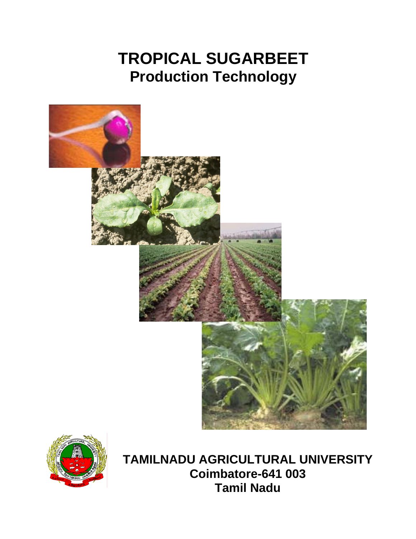# **TROPICAL SUGARBEET Production Technology**





**TAMILNADU AGRICULTURAL UNIVERSITY Coimbatore-641 003 Tamil Nadu**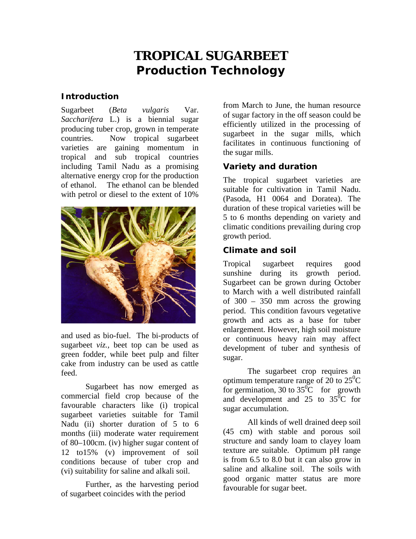# **TROPICAL SUGARBEET Production Technology**

## **Introduction**

Sugarbeet (*Beta vulgaris* Var. *Saccharifera* L.) is a biennial sugar producing tuber crop, grown in temperate countries. Now tropical sugarbeet varieties are gaining momentum in tropical and sub tropical countries including Tamil Nadu as a promising alternative energy crop for the production of ethanol. The ethanol can be blended with petrol or diesel to the extent of 10%



and used as bio-fuel. The bi-products of sugarbeet *viz.,* beet top can be used as green fodder, while beet pulp and filter cake from industry can be used as cattle feed.

Sugarbeet has now emerged as commercial field crop because of the favourable characters like (i) tropical sugarbeet varieties suitable for Tamil Nadu (ii) shorter duration of 5 to 6 months (iii) moderate water requirement of 80–100cm. (iv) higher sugar content of 12 to15% (v) improvement of soil conditions because of tuber crop and (vi) suitability for saline and alkali soil.

Further, as the harvesting period of sugarbeet coincides with the period

from March to June, the human resource of sugar factory in the off season could be efficiently utilized in the processing of sugarbeet in the sugar mills, which facilitates in continuous functioning of the sugar mills.

# **Variety and duration**

The tropical sugarbeet varieties are suitable for cultivation in Tamil Nadu. (Pasoda, H1 0064 and Doratea). The duration of these tropical varieties will be 5 to 6 months depending on variety and climatic conditions prevailing during crop growth period.

# **Climate and soil**

Tropical sugarbeet requires good sunshine during its growth period. Sugarbeet can be grown during October to March with a well distributed rainfall of 300 – 350 mm across the growing period. This condition favours vegetative growth and acts as a base for tuber enlargement. However, high soil moisture or continuous heavy rain may affect development of tuber and synthesis of sugar.

The sugarbeet crop requires an optimum temperature range of 20 to  $25^{\circ}$ C for germination, 30 to  $35^{\circ}$ C for growth and development and 25 to  $35^{\circ}$ C for sugar accumulation.

All kinds of well drained deep soil (45 cm) with stable and porous soil structure and sandy loam to clayey loam texture are suitable. Optimum pH range is from 6.5 to 8.0 but it can also grow in saline and alkaline soil. The soils with good organic matter status are more favourable for sugar beet.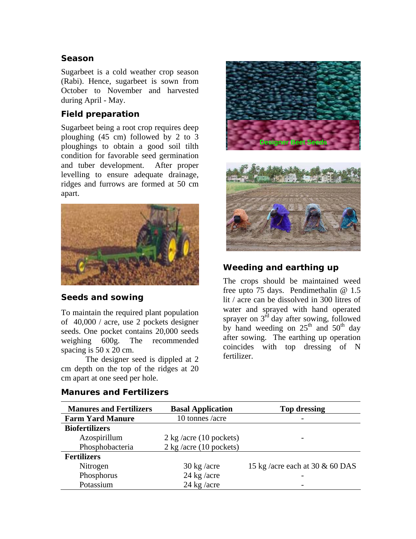#### **Season**

Sugarbeet is a cold weather crop season (Rabi). Hence, sugarbeet is sown from October to November and harvested during April - May.

#### **Field preparation**

Sugarbeet being a root crop requires deep ploughing (45 cm) followed by 2 to 3 ploughings to obtain a good soil tilth condition for favorable seed germination and tuber development. After proper levelling to ensure adequate drainage, ridges and furrows are formed at 50 cm apart.



## **Seeds and sowing**

To maintain the required plant population of 40,000 / acre, use 2 pockets designer seeds. One pocket contains 20,000 seeds weighing 600g. The recommended spacing is 50 x 20 cm.

The designer seed is dippled at 2 cm depth on the top of the ridges at 20 cm apart at one seed per hole.



# **Weeding and earthing up**

The crops should be maintained weed free upto 75 days. Pendimethalin @ 1.5 lit / acre can be dissolved in 300 litres of water and sprayed with hand operated sprayer on 3<sup>rd</sup> day after sowing, followed by hand weeding on  $25<sup>th</sup>$  and  $50<sup>th</sup>$  day after sowing. The earthing up operation coincides with top dressing of N fertilizer.

| <b>Manures and Fertilizers</b> | <b>Basal Application</b>                | <b>Top dressing</b>               |
|--------------------------------|-----------------------------------------|-----------------------------------|
| <b>Farm Yard Manure</b>        | 10 tonnes /acre                         |                                   |
| <b>Biofertilizers</b>          |                                         |                                   |
| Azospirillum                   | $2 \text{ kg}/\text{acre}$ (10 pockets) |                                   |
| Phosphobacteria                | $2 \text{ kg/acre}$ (10 pockets)        |                                   |
| <b>Fertilizers</b>             |                                         |                                   |
| Nitrogen                       | $30 \text{ kg}/\text{acre}$             | 15 kg/acre each at 30 $\&$ 60 DAS |
| Phosphorus                     | $24$ kg /acre                           |                                   |
| Potassium                      | 24 kg/acre                              |                                   |

#### **Manures and Fertilizers**